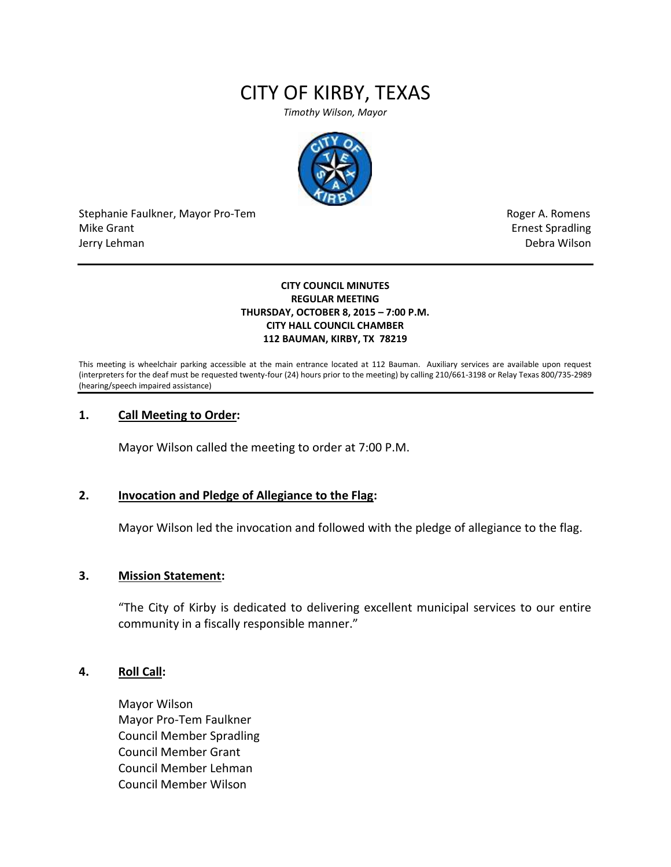# CITY OF KIRBY, TEXAS

*Timothy Wilson, Mayor*



Stephanie Faulkner, Mayor Pro-Tem **Roger A. Romens** and The Roger A. Romens and The Roger A. Romens Mike Grant **Example 2018** Mike Grant **Example 2018** Ernest Spradling Jerry Lehman Debra Wilson (2008) and the state of the state of the state of the state of the state of the state of the state of the state of the state of the state of the state of the state of the state of the state of the

#### **CITY COUNCIL MINUTES REGULAR MEETING THURSDAY, OCTOBER 8, 2015 – 7:00 P.M. CITY HALL COUNCIL CHAMBER 112 BAUMAN, KIRBY, TX 78219**

This meeting is wheelchair parking accessible at the main entrance located at 112 Bauman. Auxiliary services are available upon request (interpreters for the deaf must be requested twenty-four (24) hours prior to the meeting) by calling 210/661-3198 or Relay Texas 800/735-2989 (hearing/speech impaired assistance)

## **1. Call Meeting to Order:**

Mayor Wilson called the meeting to order at 7:00 P.M.

#### **2. Invocation and Pledge of Allegiance to the Flag:**

Mayor Wilson led the invocation and followed with the pledge of allegiance to the flag.

#### **3. Mission Statement:**

"The City of Kirby is dedicated to delivering excellent municipal services to our entire community in a fiscally responsible manner."

#### **4. Roll Call:**

Mayor Wilson Mayor Pro-Tem Faulkner Council Member Spradling Council Member Grant Council Member Lehman Council Member Wilson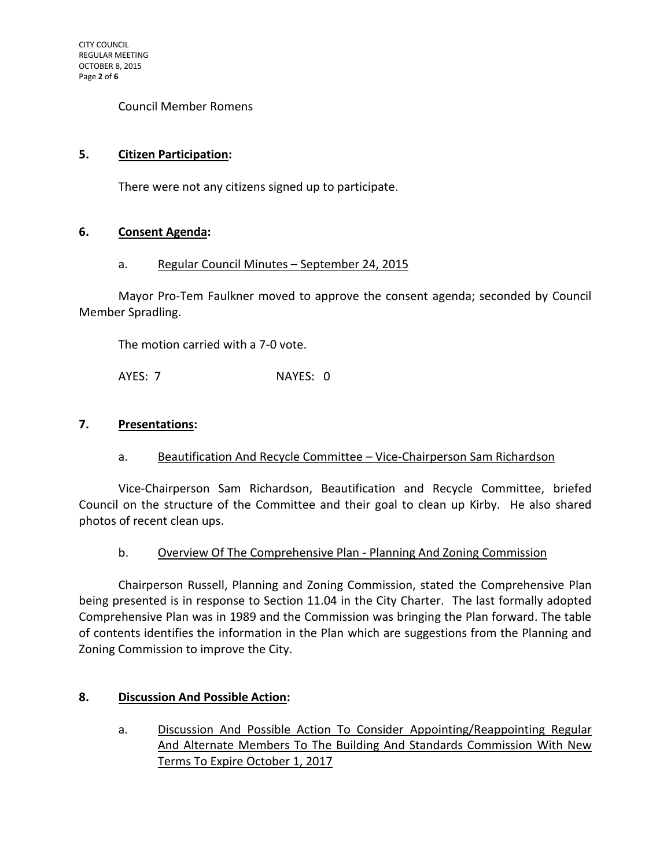Council Member Romens

## **5. Citizen Participation:**

There were not any citizens signed up to participate.

## **6. Consent Agenda:**

## a. Regular Council Minutes – September 24, 2015

Mayor Pro-Tem Faulkner moved to approve the consent agenda; seconded by Council Member Spradling.

The motion carried with a 7-0 vote.

AYES: 7 NAYES: 0

#### **7. Presentations:**

a. Beautification And Recycle Committee - Vice-Chairperson Sam Richardson

Vice-Chairperson Sam Richardson, Beautification and Recycle Committee, briefed Council on the structure of the Committee and their goal to clean up Kirby. He also shared photos of recent clean ups.

b. Overview Of The Comprehensive Plan - Planning And Zoning Commission

Chairperson Russell, Planning and Zoning Commission, stated the Comprehensive Plan being presented is in response to Section 11.04 in the City Charter. The last formally adopted Comprehensive Plan was in 1989 and the Commission was bringing the Plan forward. The table of contents identifies the information in the Plan which are suggestions from the Planning and Zoning Commission to improve the City.

## **8. Discussion And Possible Action:**

a. Discussion And Possible Action To Consider Appointing/Reappointing Regular And Alternate Members To The Building And Standards Commission With New Terms To Expire October 1, 2017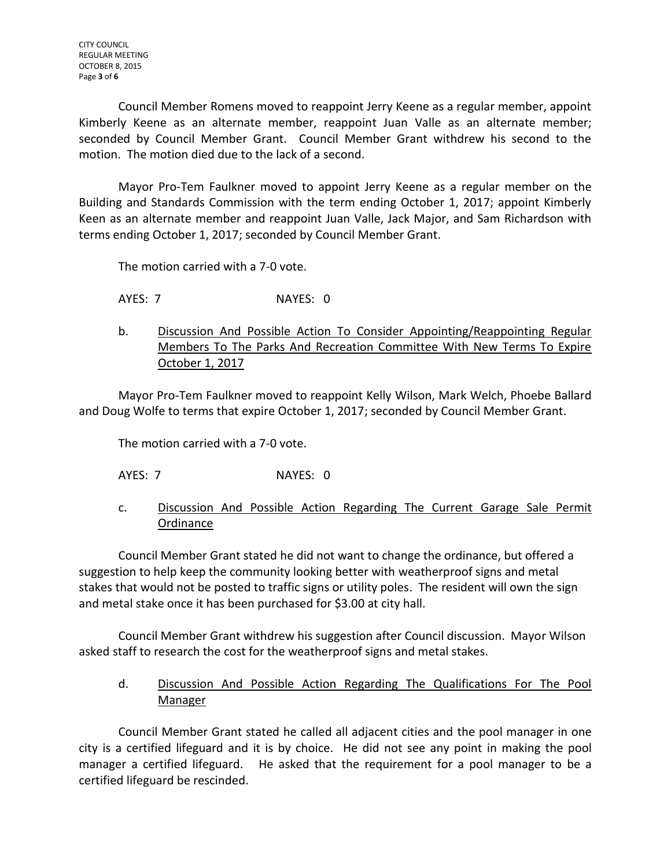Council Member Romens moved to reappoint Jerry Keene as a regular member, appoint Kimberly Keene as an alternate member, reappoint Juan Valle as an alternate member; seconded by Council Member Grant. Council Member Grant withdrew his second to the motion. The motion died due to the lack of a second.

Mayor Pro-Tem Faulkner moved to appoint Jerry Keene as a regular member on the Building and Standards Commission with the term ending October 1, 2017; appoint Kimberly Keen as an alternate member and reappoint Juan Valle, Jack Major, and Sam Richardson with terms ending October 1, 2017; seconded by Council Member Grant.

The motion carried with a 7-0 vote.

AYES: 7 NAYES: 0

b. Discussion And Possible Action To Consider Appointing/Reappointing Regular Members To The Parks And Recreation Committee With New Terms To Expire October 1, 2017

Mayor Pro-Tem Faulkner moved to reappoint Kelly Wilson, Mark Welch, Phoebe Ballard and Doug Wolfe to terms that expire October 1, 2017; seconded by Council Member Grant.

The motion carried with a 7-0 vote.

- AYES: 7 NAYES: 0
- c. Discussion And Possible Action Regarding The Current Garage Sale Permit **Ordinance**

Council Member Grant stated he did not want to change the ordinance, but offered a suggestion to help keep the community looking better with weatherproof signs and metal stakes that would not be posted to traffic signs or utility poles. The resident will own the sign and metal stake once it has been purchased for \$3.00 at city hall.

Council Member Grant withdrew his suggestion after Council discussion. Mayor Wilson asked staff to research the cost for the weatherproof signs and metal stakes.

d. Discussion And Possible Action Regarding The Qualifications For The Pool Manager

Council Member Grant stated he called all adjacent cities and the pool manager in one city is a certified lifeguard and it is by choice. He did not see any point in making the pool manager a certified lifeguard. He asked that the requirement for a pool manager to be a certified lifeguard be rescinded.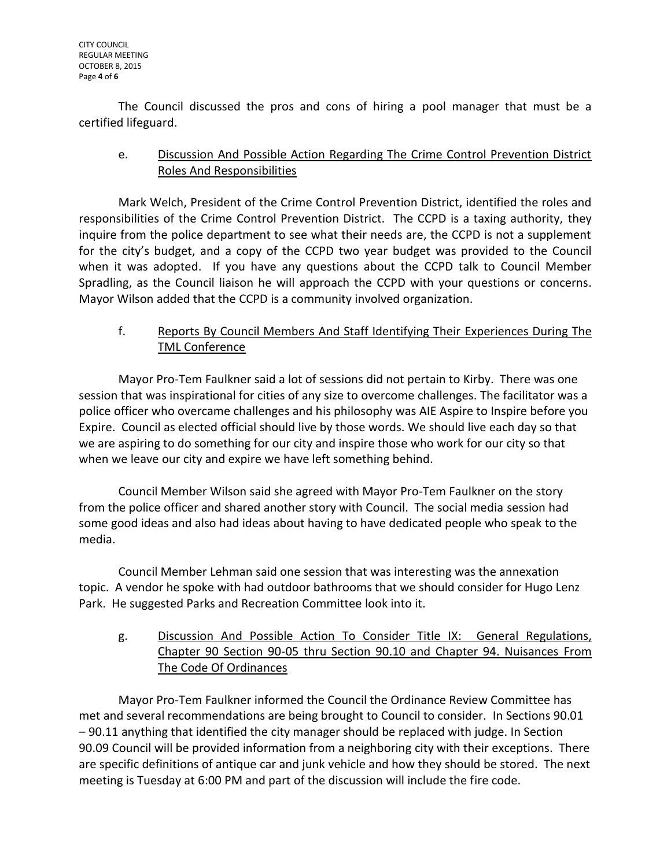The Council discussed the pros and cons of hiring a pool manager that must be a certified lifeguard.

# e. Discussion And Possible Action Regarding The Crime Control Prevention District Roles And Responsibilities

Mark Welch, President of the Crime Control Prevention District, identified the roles and responsibilities of the Crime Control Prevention District. The CCPD is a taxing authority, they inquire from the police department to see what their needs are, the CCPD is not a supplement for the city's budget, and a copy of the CCPD two year budget was provided to the Council when it was adopted. If you have any questions about the CCPD talk to Council Member Spradling, as the Council liaison he will approach the CCPD with your questions or concerns. Mayor Wilson added that the CCPD is a community involved organization.

# f. Reports By Council Members And Staff Identifying Their Experiences During The TML Conference

Mayor Pro-Tem Faulkner said a lot of sessions did not pertain to Kirby. There was one session that was inspirational for cities of any size to overcome challenges. The facilitator was a police officer who overcame challenges and his philosophy was AIE Aspire to Inspire before you Expire. Council as elected official should live by those words. We should live each day so that we are aspiring to do something for our city and inspire those who work for our city so that when we leave our city and expire we have left something behind.

Council Member Wilson said she agreed with Mayor Pro-Tem Faulkner on the story from the police officer and shared another story with Council. The social media session had some good ideas and also had ideas about having to have dedicated people who speak to the media.

Council Member Lehman said one session that was interesting was the annexation topic. A vendor he spoke with had outdoor bathrooms that we should consider for Hugo Lenz Park. He suggested Parks and Recreation Committee look into it.

g. Discussion And Possible Action To Consider Title IX: General Regulations, Chapter 90 Section 90-05 thru Section 90.10 and Chapter 94. Nuisances From The Code Of Ordinances

Mayor Pro-Tem Faulkner informed the Council the Ordinance Review Committee has met and several recommendations are being brought to Council to consider. In Sections 90.01 – 90.11 anything that identified the city manager should be replaced with judge. In Section 90.09 Council will be provided information from a neighboring city with their exceptions. There are specific definitions of antique car and junk vehicle and how they should be stored. The next meeting is Tuesday at 6:00 PM and part of the discussion will include the fire code.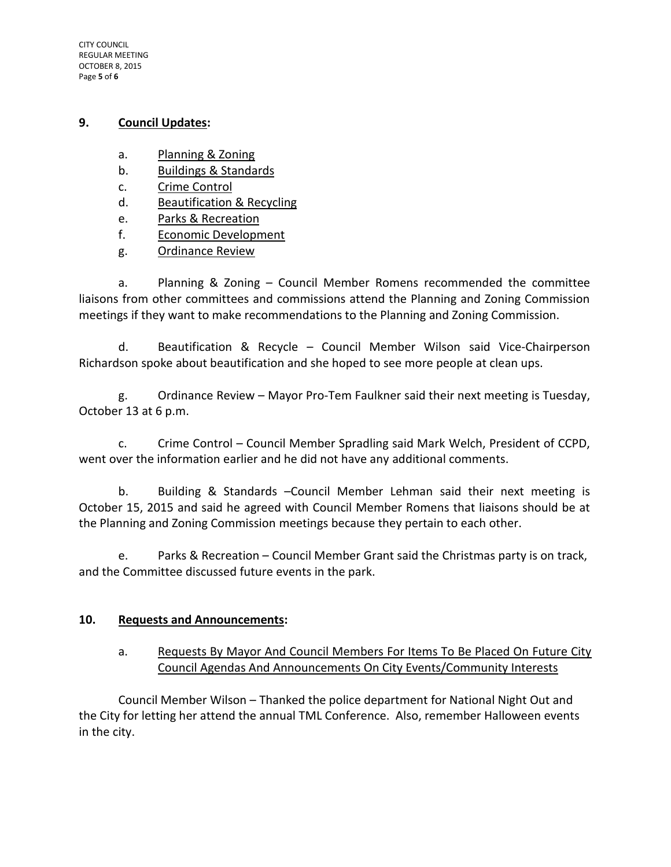CITY COUNCIL REGULAR MEETING OCTOBER 8, 2015 Page **5** of **6**

## **9. Council Updates:**

- a. Planning & Zoning
- b. Buildings & Standards
- c. Crime Control
- d. Beautification & Recycling
- e. Parks & Recreation
- f. Economic Development
- g. Ordinance Review

a. Planning & Zoning – Council Member Romens recommended the committee liaisons from other committees and commissions attend the Planning and Zoning Commission meetings if they want to make recommendations to the Planning and Zoning Commission.

d. Beautification & Recycle – Council Member Wilson said Vice-Chairperson Richardson spoke about beautification and she hoped to see more people at clean ups.

g. Ordinance Review – Mayor Pro-Tem Faulkner said their next meeting is Tuesday, October 13 at 6 p.m.

c. Crime Control – Council Member Spradling said Mark Welch, President of CCPD, went over the information earlier and he did not have any additional comments.

b. Building & Standards –Council Member Lehman said their next meeting is October 15, 2015 and said he agreed with Council Member Romens that liaisons should be at the Planning and Zoning Commission meetings because they pertain to each other.

e. Parks & Recreation – Council Member Grant said the Christmas party is on track, and the Committee discussed future events in the park.

# **10. Requests and Announcements:**

a. Requests By Mayor And Council Members For Items To Be Placed On Future City Council Agendas And Announcements On City Events/Community Interests

Council Member Wilson – Thanked the police department for National Night Out and the City for letting her attend the annual TML Conference. Also, remember Halloween events in the city.